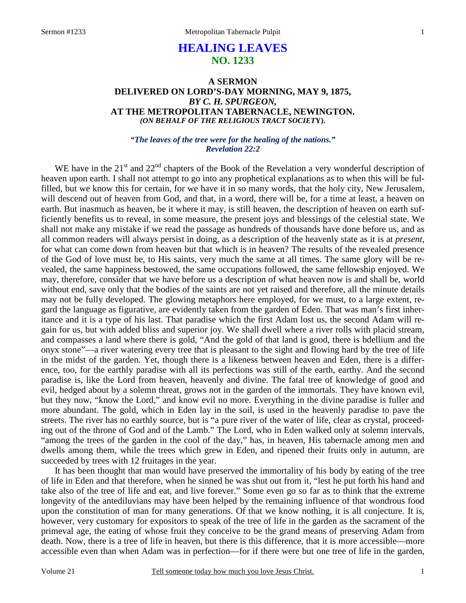# **HEALING LEAVES NO. 1233**

# **A SERMON DELIVERED ON LORD'S-DAY MORNING, MAY 9, 1875,**  *BY C. H. SPURGEON,*  **AT THE METROPOLITAN TABERNACLE, NEWINGTON.**  *(ON BEHALF OF THE RELIGIOUS TRACT SOCIET***Y).**

#### *"The leaves of the tree were for the healing of the nations." Revelation 22:2*

WE have in the  $21<sup>st</sup>$  and  $22<sup>nd</sup>$  chapters of the Book of the Revelation a very wonderful description of heaven upon earth. I shall not attempt to go into any prophetical explanations as to when this will be fulfilled, but we know this for certain, for we have it in so many words, that the holy city, New Jerusalem, will descend out of heaven from God, and that, in a word, there will be, for a time at least, a heaven on earth. But inasmuch as heaven, be it where it may, is still heaven, the description of heaven on earth sufficiently benefits us to reveal, in some measure, the present joys and blessings of the celestial state. We shall not make any mistake if we read the passage as hundreds of thousands have done before us, and as all common readers will always persist in doing, as a description of the heavenly state as it is at *present*, for what can come down from heaven but that which is in heaven? The results of the revealed presence of the God of love must be, to His saints, very much the same at all times. The same glory will be revealed, the same happiness bestowed, the same occupations followed, the same fellowship enjoyed. We may, therefore, consider that we have before us a description of what heaven now is and shall be, world without end, save only that the bodies of the saints are not yet raised and therefore, all the minute details may not be fully developed. The glowing metaphors here employed, for we must, to a large extent, regard the language as figurative, are evidently taken from the garden of Eden. That was man's first inheritance and it is a type of his last. That paradise which the first Adam lost us, the second Adam will regain for us, but with added bliss and superior joy. We shall dwell where a river rolls with placid stream, and compasses a land where there is gold, "And the gold of that land is good, there is bdellium and the onyx stone"—a river watering every tree that is pleasant to the sight and flowing hard by the tree of life in the midst of the garden. Yet, though there is a likeness between heaven and Eden, there is a difference, too, for the earthly paradise with all its perfections was still of the earth, earthy. And the second paradise is, like the Lord from heaven, heavenly and divine. The fatal tree of knowledge of good and evil, hedged about by a solemn threat, grows not in the garden of the immortals. They have known evil, but they now, "know the Lord," and know evil no more. Everything in the divine paradise is fuller and more abundant. The gold, which in Eden lay in the soil, is used in the heavenly paradise to pave the streets. The river has no earthly source, but is "a pure river of the water of life, clear as crystal, proceeding out of the throne of God and of the Lamb." The Lord, who in Eden walked only at solemn intervals, "among the trees of the garden in the cool of the day," has, in heaven, His tabernacle among men and dwells among them, while the trees which grew in Eden, and ripened their fruits only in autumn, are succeeded by trees with 12 fruitages in the year.

 It has been thought that man would have preserved the immortality of his body by eating of the tree of life in Eden and that therefore, when he sinned he was shut out from it, "lest he put forth his hand and take also of the tree of life and eat, and live forever." Some even go so far as to think that the extreme longevity of the antediluvians may have been helped by the remaining influence of that wondrous food upon the constitution of man for many generations. Of that we know nothing, it is all conjecture. It is, however, very customary for expositors to speak of the tree of life in the garden as the sacrament of the primeval age, the eating of whose fruit they conceive to be the grand means of preserving Adam from death. Now, there is a tree of life in heaven, but there is this difference, that it is more accessible—more accessible even than when Adam was in perfection—for if there were but one tree of life in the garden,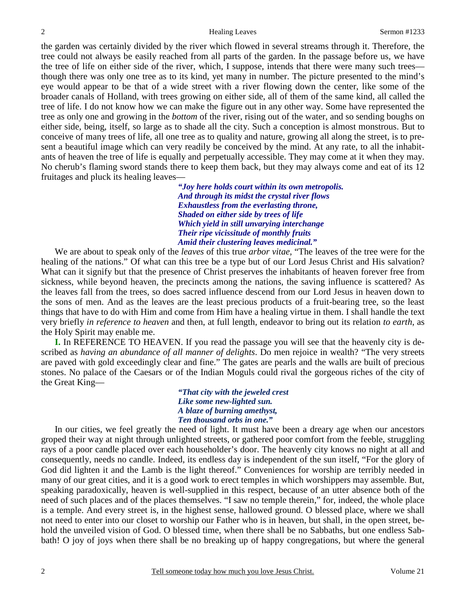the garden was certainly divided by the river which flowed in several streams through it. Therefore, the tree could not always be easily reached from all parts of the garden. In the passage before us, we have the tree of life on either side of the river, which, I suppose, intends that there were many such trees though there was only one tree as to its kind, yet many in number. The picture presented to the mind's eye would appear to be that of a wide street with a river flowing down the center, like some of the broader canals of Holland, with trees growing on either side, all of them of the same kind, all called the tree of life. I do not know how we can make the figure out in any other way. Some have represented the tree as only one and growing in the *bottom* of the river, rising out of the water, and so sending boughs on either side, being, itself, so large as to shade all the city. Such a conception is almost monstrous. But to conceive of many trees of life, all one tree as to quality and nature, growing all along the street, is to present a beautiful image which can very readily be conceived by the mind. At any rate, to all the inhabitants of heaven the tree of life is equally and perpetually accessible. They may come at it when they may. No cherub's flaming sword stands there to keep them back, but they may always come and eat of its 12 fruitages and pluck its healing leaves—

> *"Joy here holds court within its own metropolis. And through its midst the crystal river flows Exhaustless from the everlasting throne, Shaded on either side by trees of life Which yield in still unvarying interchange Their ripe vicissitude of monthly fruits Amid their clustering leaves medicinal."*

 We are about to speak only of the *leaves* of this true *arbor vitae*, "The leaves of the tree were for the healing of the nations." Of what can this tree be a type but of our Lord Jesus Christ and His salvation? What can it signify but that the presence of Christ preserves the inhabitants of heaven forever free from sickness, while beyond heaven, the precincts among the nations, the saving influence is scattered? As the leaves fall from the trees, so does sacred influence descend from our Lord Jesus in heaven down to the sons of men. And as the leaves are the least precious products of a fruit-bearing tree, so the least things that have to do with Him and come from Him have a healing virtue in them. I shall handle the text very briefly *in reference to heaven* and then, at full length, endeavor to bring out its relation *to earth*, as the Holy Spirit may enable me.

**I.** In REFERENCE TO HEAVEN. If you read the passage you will see that the heavenly city is described as *having an abundance of all manner of delights*. Do men rejoice in wealth? "The very streets are paved with gold exceedingly clear and fine." The gates are pearls and the walls are built of precious stones. No palace of the Caesars or of the Indian Moguls could rival the gorgeous riches of the city of the Great King—

> *"That city with the jeweled crest Like some new-lighted sun. A blaze of burning amethyst, Ten thousand orbs in one."*

In our cities, we feel greatly the need of light. It must have been a dreary age when our ancestors groped their way at night through unlighted streets, or gathered poor comfort from the feeble, struggling rays of a poor candle placed over each householder's door. The heavenly city knows no night at all and consequently, needs no candle. Indeed, its endless day is independent of the sun itself, "For the glory of God did lighten it and the Lamb is the light thereof." Conveniences for worship are terribly needed in many of our great cities, and it is a good work to erect temples in which worshippers may assemble. But, speaking paradoxically, heaven is well-supplied in this respect, because of an utter absence both of the need of such places and of the places themselves. "I saw no temple therein," for, indeed, the whole place is a temple. And every street is, in the highest sense, hallowed ground. O blessed place, where we shall not need to enter into our closet to worship our Father who is in heaven, but shall, in the open street, behold the unveiled vision of God. O blessed time, when there shall be no Sabbaths, but one endless Sabbath! O joy of joys when there shall be no breaking up of happy congregations, but where the general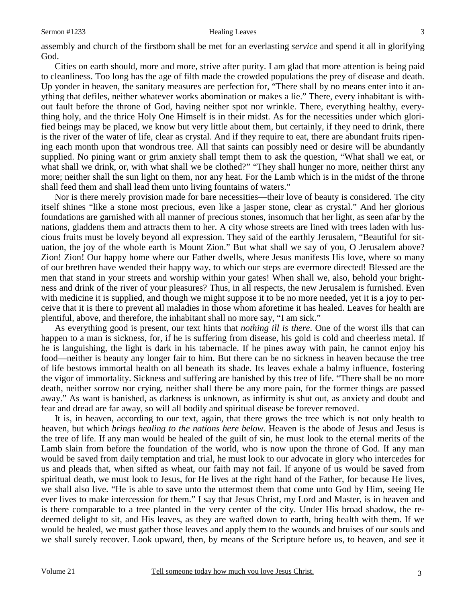#### Sermon #1233 Healing Leaves

assembly and church of the firstborn shall be met for an everlasting *service* and spend it all in glorifying God.

 Cities on earth should, more and more, strive after purity. I am glad that more attention is being paid to cleanliness. Too long has the age of filth made the crowded populations the prey of disease and death. Up yonder in heaven, the sanitary measures are perfection for, "There shall by no means enter into it anything that defiles, neither whatever works abomination or makes a lie." There, every inhabitant is without fault before the throne of God, having neither spot nor wrinkle. There, everything healthy, everything holy, and the thrice Holy One Himself is in their midst. As for the necessities under which glorified beings may be placed, we know but very little about them, but certainly, if they need to drink, there is the river of the water of life, clear as crystal. And if they require to eat, there are abundant fruits ripening each month upon that wondrous tree. All that saints can possibly need or desire will be abundantly supplied. No pining want or grim anxiety shall tempt them to ask the question, "What shall we eat, or what shall we drink, or, with what shall we be clothed?" "They shall hunger no more, neither thirst any more; neither shall the sun light on them, nor any heat. For the Lamb which is in the midst of the throne shall feed them and shall lead them unto living fountains of waters."

 Nor is there merely provision made for bare necessities—their love of beauty is considered. The city itself shines "like a stone most precious, even like a jasper stone, clear as crystal." And her glorious foundations are garnished with all manner of precious stones, insomuch that her light, as seen afar by the nations, gladdens them and attracts them to her. A city whose streets are lined with trees laden with luscious fruits must be lovely beyond all expression. They said of the earthly Jerusalem, "Beautiful for situation, the joy of the whole earth is Mount Zion." But what shall we say of you, O Jerusalem above? Zion! Zion! Our happy home where our Father dwells, where Jesus manifests His love, where so many of our brethren have wended their happy way, to which our steps are evermore directed! Blessed are the men that stand in your streets and worship within your gates! When shall we, also, behold your brightness and drink of the river of your pleasures? Thus, in all respects, the new Jerusalem is furnished. Even with medicine it is supplied, and though we might suppose it to be no more needed, yet it is a joy to perceive that it is there to prevent all maladies in those whom aforetime it has healed. Leaves for health are plentiful, above, and therefore, the inhabitant shall no more say, "I am sick."

 As everything good is present, our text hints that *nothing ill is there*. One of the worst ills that can happen to a man is sickness, for, if he is suffering from disease, his gold is cold and cheerless metal. If he is languishing, the light is dark in his tabernacle. If he pines away with pain, he cannot enjoy his food—neither is beauty any longer fair to him. But there can be no sickness in heaven because the tree of life bestows immortal health on all beneath its shade. Its leaves exhale a balmy influence, fostering the vigor of immortality. Sickness and suffering are banished by this tree of life. "There shall be no more death, neither sorrow nor crying, neither shall there be any more pain, for the former things are passed away." As want is banished, as darkness is unknown, as infirmity is shut out, as anxiety and doubt and fear and dread are far away, so will all bodily and spiritual disease be forever removed.

 It is, in heaven, according to our text, again, that there grows the tree which is not only health to heaven, but which *brings healing to the nations here below*. Heaven is the abode of Jesus and Jesus is the tree of life. If any man would be healed of the guilt of sin, he must look to the eternal merits of the Lamb slain from before the foundation of the world, who is now upon the throne of God. If any man would be saved from daily temptation and trial, he must look to our advocate in glory who intercedes for us and pleads that, when sifted as wheat, our faith may not fail. If anyone of us would be saved from spiritual death, we must look to Jesus, for He lives at the right hand of the Father, for because He lives, we shall also live. "He is able to save unto the uttermost them that come unto God by Him, seeing He ever lives to make intercession for them." I say that Jesus Christ, my Lord and Master, is in heaven and is there comparable to a tree planted in the very center of the city. Under His broad shadow, the redeemed delight to sit, and His leaves, as they are wafted down to earth, bring health with them. If we would be healed, we must gather those leaves and apply them to the wounds and bruises of our souls and we shall surely recover. Look upward, then, by means of the Scripture before us, to heaven, and see it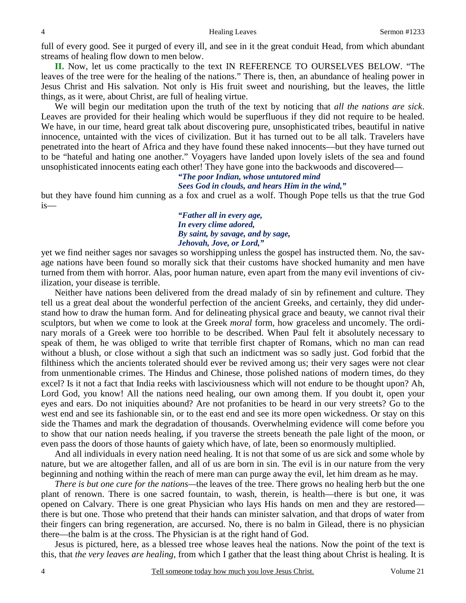full of every good. See it purged of every ill, and see in it the great conduit Head, from which abundant streams of healing flow down to men below.

**II.** Now, let us come practically to the text IN REFERENCE TO OURSELVES BELOW. "The leaves of the tree were for the healing of the nations." There is, then, an abundance of healing power in Jesus Christ and His salvation. Not only is His fruit sweet and nourishing, but the leaves, the little things, as it were, about Christ, are full of healing virtue.

 We will begin our meditation upon the truth of the text by noticing that *all the nations are sick*. Leaves are provided for their healing which would be superfluous if they did not require to be healed. We have, in our time, heard great talk about discovering pure, unsophisticated tribes, beautiful in native innocence, untainted with the vices of civilization. But it has turned out to be all talk. Travelers have penetrated into the heart of Africa and they have found these naked innocents—but they have turned out to be "hateful and hating one another." Voyagers have landed upon lovely islets of the sea and found unsophisticated innocents eating each other! They have gone into the backwoods and discovered—

#### *"The poor Indian, whose untutored mind Sees God in clouds, and hears Him in the wind,"*

but they have found him cunning as a fox and cruel as a wolf. Though Pope tells us that the true God is—

> *"Father all in every age, In every clime adored, By saint, by savage, and by sage, Jehovah, Jove, or Lord,"*

yet we find neither sages nor savages so worshipping unless the gospel has instructed them. No, the savage nations have been found so morally sick that their customs have shocked humanity and men have turned from them with horror. Alas, poor human nature, even apart from the many evil inventions of civilization, your disease is terrible.

 Neither have nations been delivered from the dread malady of sin by refinement and culture. They tell us a great deal about the wonderful perfection of the ancient Greeks, and certainly, they did understand how to draw the human form. And for delineating physical grace and beauty, we cannot rival their sculptors, but when we come to look at the Greek *moral* form, how graceless and uncomely. The ordinary morals of a Greek were too horrible to be described. When Paul felt it absolutely necessary to speak of them, he was obliged to write that terrible first chapter of Romans, which no man can read without a blush, or close without a sigh that such an indictment was so sadly just. God forbid that the filthiness which the ancients tolerated should ever be revived among us; their very sages were not clear from unmentionable crimes. The Hindus and Chinese, those polished nations of modern times, do they excel? Is it not a fact that India reeks with lasciviousness which will not endure to be thought upon? Ah, Lord God, you know! All the nations need healing, our own among them. If you doubt it, open your eyes and ears. Do not iniquities abound? Are not profanities to be heard in our very streets? Go to the west end and see its fashionable sin, or to the east end and see its more open wickedness. Or stay on this side the Thames and mark the degradation of thousands. Overwhelming evidence will come before you to show that our nation needs healing, if you traverse the streets beneath the pale light of the moon, or even pass the doors of those haunts of gaiety which have, of late, been so enormously multiplied.

 And all individuals in every nation need healing. It is not that some of us are sick and some whole by nature, but we are altogether fallen, and all of us are born in sin. The evil is in our nature from the very beginning and nothing within the reach of mere man can purge away the evil, let him dream as he may.

*There is but one cure for the nations—*the leaves of the tree. There grows no healing herb but the one plant of renown. There is one sacred fountain, to wash, therein, is health—there is but one, it was opened on Calvary. There is one great Physician who lays His hands on men and they are restored there is but one. Those who pretend that their hands can minister salvation, and that drops of water from their fingers can bring regeneration, are accursed. No, there is no balm in Gilead, there is no physician there—the balm is at the cross. The Physician is at the right hand of God.

 Jesus is pictured, here, as a blessed tree whose leaves heal the nations. Now the point of the text is this, that *the very leaves are healing*, from which I gather that the least thing about Christ is healing. It is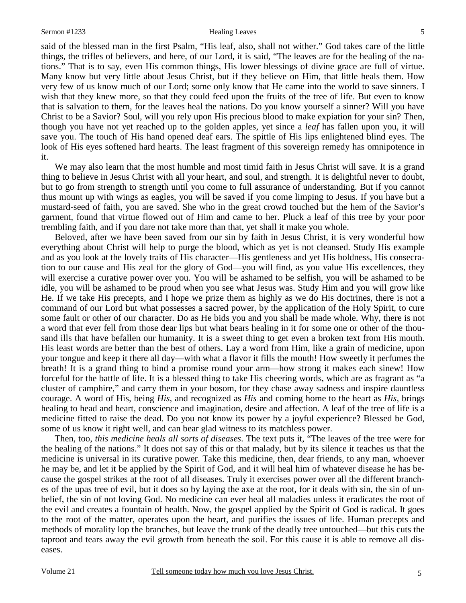#### Sermon #1233 Healing Leaves

said of the blessed man in the first Psalm, "His leaf, also, shall not wither." God takes care of the little things, the trifles of believers, and here, of our Lord, it is said, "The leaves are for the healing of the nations." That is to say, even His common things, His lower blessings of divine grace are full of virtue. Many know but very little about Jesus Christ, but if they believe on Him, that little heals them. How very few of us know much of our Lord; some only know that He came into the world to save sinners. I wish that they knew more, so that they could feed upon the fruits of the tree of life. But even to know that is salvation to them, for the leaves heal the nations. Do you know yourself a sinner? Will you have Christ to be a Savior? Soul, will you rely upon His precious blood to make expiation for your sin? Then, though you have not yet reached up to the golden apples, yet since a *leaf* has fallen upon you, it will save you. The touch of His hand opened deaf ears. The spittle of His lips enlightened blind eyes. The look of His eyes softened hard hearts. The least fragment of this sovereign remedy has omnipotence in it.

We may also learn that the most humble and most timid faith in Jesus Christ will save. It is a grand thing to believe in Jesus Christ with all your heart, and soul, and strength. It is delightful never to doubt, but to go from strength to strength until you come to full assurance of understanding. But if you cannot thus mount up with wings as eagles, you will be saved if you come limping to Jesus. If you have but a mustard-seed of faith, you are saved. She who in the great crowd touched but the hem of the Savior's garment, found that virtue flowed out of Him and came to her. Pluck a leaf of this tree by your poor trembling faith, and if you dare not take more than that, yet shall it make you whole.

 Beloved, after we have been saved from our sin by faith in Jesus Christ, it is very wonderful how everything about Christ will help to purge the blood, which as yet is not cleansed. Study His example and as you look at the lovely traits of His character—His gentleness and yet His boldness, His consecration to our cause and His zeal for the glory of God—you will find, as you value His excellences, they will exercise a curative power over you. You will be ashamed to be selfish, you will be ashamed to be idle, you will be ashamed to be proud when you see what Jesus was. Study Him and you will grow like He. If we take His precepts, and I hope we prize them as highly as we do His doctrines, there is not a command of our Lord but what possesses a sacred power, by the application of the Holy Spirit, to cure some fault or other of our character. Do as He bids you and you shall be made whole. Why, there is not a word that ever fell from those dear lips but what bears healing in it for some one or other of the thousand ills that have befallen our humanity. It is a sweet thing to get even a broken text from His mouth. His least words are better than the best of others. Lay a word from Him, like a grain of medicine, upon your tongue and keep it there all day—with what a flavor it fills the mouth! How sweetly it perfumes the breath! It is a grand thing to bind a promise round your arm—how strong it makes each sinew! How forceful for the battle of life. It is a blessed thing to take His cheering words, which are as fragrant as "a cluster of camphire," and carry them in your bosom, for they chase away sadness and inspire dauntless courage. A word of His, being *His*, and recognized as *His* and coming home to the heart as *His*, brings healing to head and heart, conscience and imagination, desire and affection. A leaf of the tree of life is a medicine fitted to raise the dead. Do you not know its power by a joyful experience? Blessed be God, some of us know it right well, and can bear glad witness to its matchless power.

 Then, too, *this medicine heals all sorts of diseases*. The text puts it, "The leaves of the tree were for the healing of the nations." It does not say of this or that malady, but by its silence it teaches us that the medicine is universal in its curative power. Take this medicine, then, dear friends, to any man, whoever he may be, and let it be applied by the Spirit of God, and it will heal him of whatever disease he has because the gospel strikes at the root of all diseases. Truly it exercises power over all the different branches of the upas tree of evil, but it does so by laying the axe at the root, for it deals with sin, the sin of unbelief, the sin of not loving God. No medicine can ever heal all maladies unless it eradicates the root of the evil and creates a fountain of health. Now, the gospel applied by the Spirit of God is radical. It goes to the root of the matter, operates upon the heart, and purifies the issues of life. Human precepts and methods of morality lop the branches, but leave the trunk of the deadly tree untouched—but this cuts the taproot and tears away the evil growth from beneath the soil. For this cause it is able to remove all diseases.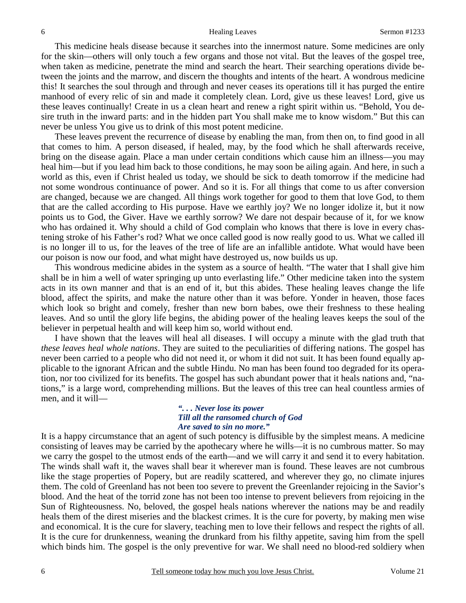This medicine heals disease because it searches into the innermost nature. Some medicines are only for the skin—others will only touch a few organs and those not vital. But the leaves of the gospel tree, when taken as medicine, penetrate the mind and search the heart. Their searching operations divide between the joints and the marrow, and discern the thoughts and intents of the heart. A wondrous medicine this! It searches the soul through and through and never ceases its operations till it has purged the entire manhood of every relic of sin and made it completely clean. Lord, give us these leaves! Lord, give us these leaves continually! Create in us a clean heart and renew a right spirit within us. "Behold, You desire truth in the inward parts: and in the hidden part You shall make me to know wisdom." But this can never be unless You give us to drink of this most potent medicine.

 These leaves prevent the recurrence of disease by enabling the man, from then on, to find good in all that comes to him. A person diseased, if healed, may, by the food which he shall afterwards receive, bring on the disease again. Place a man under certain conditions which cause him an illness—you may heal him—but if you lead him back to those conditions, he may soon be ailing again. And here, in such a world as this, even if Christ healed us today, we should be sick to death tomorrow if the medicine had not some wondrous continuance of power. And so it is. For all things that come to us after conversion are changed, because we are changed. All things work together for good to them that love God, to them that are the called according to His purpose. Have we earthly joy? We no longer idolize it, but it now points us to God, the Giver. Have we earthly sorrow? We dare not despair because of it, for we know who has ordained it. Why should a child of God complain who knows that there is love in every chastening stroke of his Father's rod? What we once called good is now really good to us. What we called ill is no longer ill to us, for the leaves of the tree of life are an infallible antidote. What would have been our poison is now our food, and what might have destroyed us, now builds us up.

 This wondrous medicine abides in the system as a source of health. "The water that I shall give him shall be in him a well of water springing up unto everlasting life." Other medicine taken into the system acts in its own manner and that is an end of it, but this abides. These healing leaves change the life blood, affect the spirits, and make the nature other than it was before. Yonder in heaven, those faces which look so bright and comely, fresher than new born babes, owe their freshness to these healing leaves. And so until the glory life begins, the abiding power of the healing leaves keeps the soul of the believer in perpetual health and will keep him so, world without end.

 I have shown that the leaves will heal all diseases. I will occupy a minute with the glad truth that *these leaves heal whole nations*. They are suited to the peculiarities of differing nations. The gospel has never been carried to a people who did not need it, or whom it did not suit. It has been found equally applicable to the ignorant African and the subtle Hindu. No man has been found too degraded for its operation, nor too civilized for its benefits. The gospel has such abundant power that it heals nations and, "nations," is a large word, comprehending millions. But the leaves of this tree can heal countless armies of men, and it will—

### *". . . Never lose its power Till all the ransomed church of God Are saved to sin no more."*

It is a happy circumstance that an agent of such potency is diffusible by the simplest means. A medicine consisting of leaves may be carried by the apothecary where he wills—it is no cumbrous matter. So may we carry the gospel to the utmost ends of the earth—and we will carry it and send it to every habitation. The winds shall waft it, the waves shall bear it wherever man is found. These leaves are not cumbrous like the stage properties of Popery, but are readily scattered, and wherever they go, no climate injures them. The cold of Greenland has not been too severe to prevent the Greenlander rejoicing in the Savior's blood. And the heat of the torrid zone has not been too intense to prevent believers from rejoicing in the Sun of Righteousness. No, beloved, the gospel heals nations wherever the nations may be and readily heals them of the direst miseries and the blackest crimes. It is the cure for poverty, by making men wise and economical. It is the cure for slavery, teaching men to love their fellows and respect the rights of all. It is the cure for drunkenness, weaning the drunkard from his filthy appetite, saving him from the spell which binds him. The gospel is the only preventive for war. We shall need no blood-red soldiery when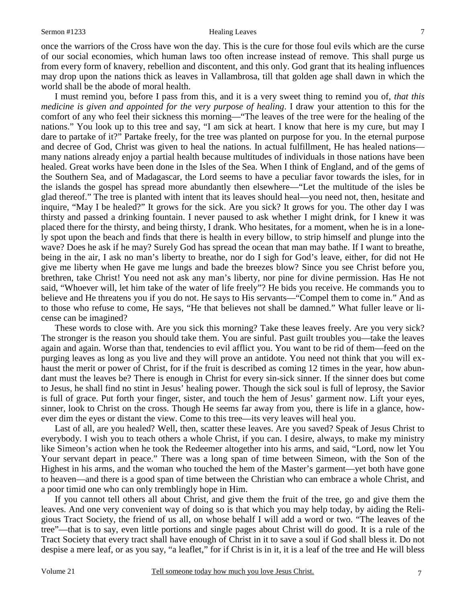once the warriors of the Cross have won the day. This is the cure for those foul evils which are the curse of our social economies, which human laws too often increase instead of remove. This shall purge us from every form of knavery, rebellion and discontent, and this only. God grant that its healing influences may drop upon the nations thick as leaves in Vallambrosa, till that golden age shall dawn in which the world shall be the abode of moral health.

 I must remind you, before I pass from this, and it is a very sweet thing to remind you of, *that this medicine is given and appointed for the very purpose of healing*. I draw your attention to this for the comfort of any who feel their sickness this morning—"The leaves of the tree were for the healing of the nations." You look up to this tree and say, "I am sick at heart. I know that here is my cure, but may I dare to partake of it?" Partake freely, for the tree was planted on purpose for you. In the eternal purpose and decree of God, Christ was given to heal the nations. In actual fulfillment, He has healed nations many nations already enjoy a partial health because multitudes of individuals in those nations have been healed. Great works have been done in the Isles of the Sea. When I think of England, and of the gems of the Southern Sea, and of Madagascar, the Lord seems to have a peculiar favor towards the isles, for in the islands the gospel has spread more abundantly then elsewhere—"Let the multitude of the isles be glad thereof." The tree is planted with intent that its leaves should heal—you need not, then, hesitate and inquire, "May I be healed?" It grows for the sick. Are you sick? It grows for you. The other day I was thirsty and passed a drinking fountain. I never paused to ask whether I might drink, for I knew it was placed there for the thirsty, and being thirsty, I drank. Who hesitates, for a moment, when he is in a lonely spot upon the beach and finds that there is health in every billow, to strip himself and plunge into the wave? Does he ask if he may? Surely God has spread the ocean that man may bathe. If I want to breathe, being in the air, I ask no man's liberty to breathe, nor do I sigh for God's leave, either, for did not He give me liberty when He gave me lungs and bade the breezes blow? Since you see Christ before you, brethren, take Christ! You need not ask any man's liberty, nor pine for divine permission. Has He not said, "Whoever will, let him take of the water of life freely"? He bids you receive. He commands you to believe and He threatens you if you do not. He says to His servants—"Compel them to come in." And as to those who refuse to come, He says, "He that believes not shall be damned." What fuller leave or license can be imagined?

 These words to close with. Are you sick this morning? Take these leaves freely. Are you very sick? The stronger is the reason you should take them. You are sinful. Past guilt troubles you—take the leaves again and again. Worse than that, tendencies to evil afflict you. You want to be rid of them—feed on the purging leaves as long as you live and they will prove an antidote. You need not think that you will exhaust the merit or power of Christ, for if the fruit is described as coming 12 times in the year, how abundant must the leaves be? There is enough in Christ for every sin-sick sinner. If the sinner does but come to Jesus, he shall find no stint in Jesus' healing power. Though the sick soul is full of leprosy, the Savior is full of grace. Put forth your finger, sister, and touch the hem of Jesus' garment now. Lift your eyes, sinner, look to Christ on the cross. Though He seems far away from you, there is life in a glance, however dim the eyes or distant the view. Come to this tree—its very leaves will heal you.

 Last of all, are you healed? Well, then, scatter these leaves. Are you saved? Speak of Jesus Christ to everybody. I wish you to teach others a whole Christ, if you can. I desire, always, to make my ministry like Simeon's action when he took the Redeemer altogether into his arms, and said, "Lord, now let You Your servant depart in peace." There was a long span of time between Simeon, with the Son of the Highest in his arms, and the woman who touched the hem of the Master's garment—yet both have gone to heaven—and there is a good span of time between the Christian who can embrace a whole Christ, and a poor timid one who can only tremblingly hope in Him.

 If you cannot tell others all about Christ, and give them the fruit of the tree, go and give them the leaves. And one very convenient way of doing so is that which you may help today, by aiding the Religious Tract Society, the friend of us all, on whose behalf I will add a word or two. "The leaves of the tree"—that is to say, even little portions and single pages about Christ will do good. It is a rule of the Tract Society that every tract shall have enough of Christ in it to save a soul if God shall bless it. Do not despise a mere leaf, or as you say, "a leaflet," for if Christ is in it, it is a leaf of the tree and He will bless